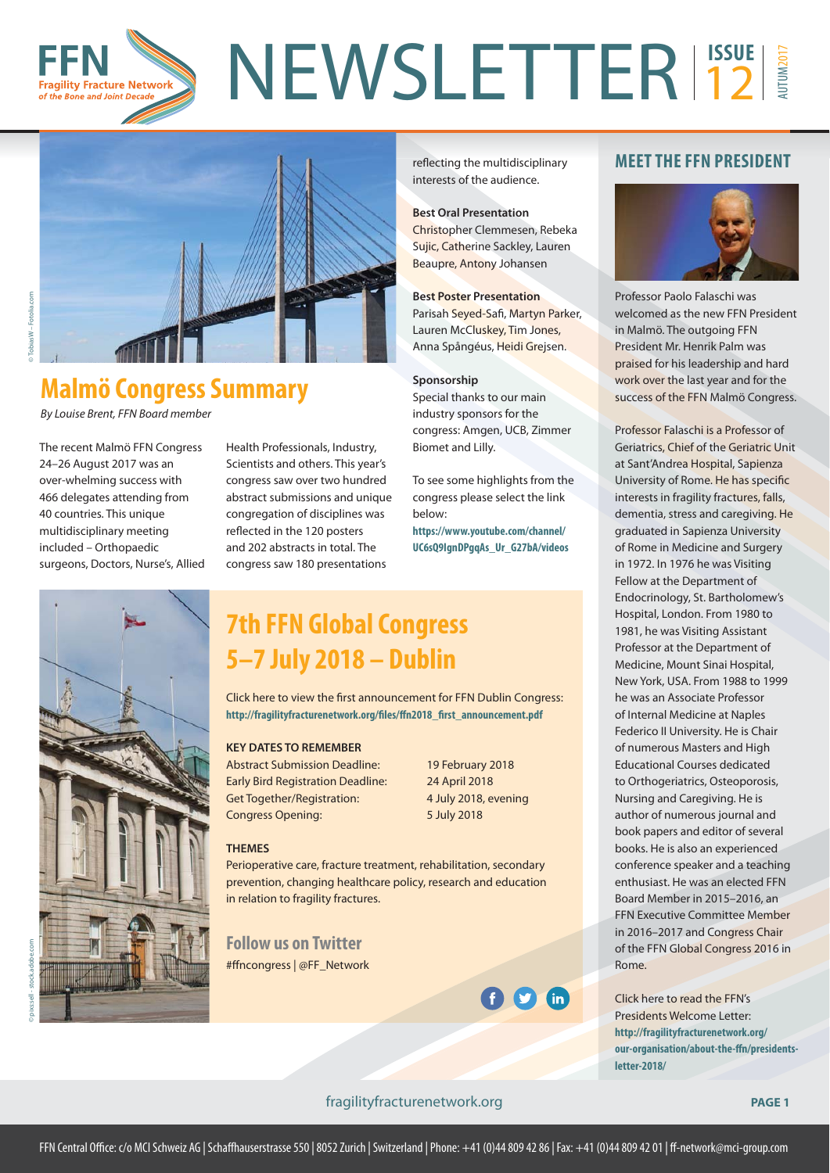

reflecting the multidisciplinary interests of the audience.

Christopher Clemmesen, Rebeka Sujic, Catherine Sackley, Lauren Beaupre, Antony Johansen

**Best Oral Presentation**

**Best Poster Presentation** Parisah Seyed-Safi, Martyn Parker, Lauren McCluskey, Tim Jones, Anna Spångéus, Heidi Grejsen.

Special thanks to our main industry sponsors for the congress: Amgen, UCB, Zimmer

To see some highlights from the congress please select the link

**https://www.youtube.com/channel/ [UC6sQ9IgnDPgqAs\\_Ur\\_G27bA/videos](https://www.youtube.com/channel/UC6sQ9IgnDPgqAs_Ur_G27bA/videos)**

**Sponsorship**

Biomet and Lilly.

below:



# **Malmö Congress Summary**

By Louise Brent, FFN Board member

The recent Malmö FFN Congress 24–26 August 2017 was an over-whelming success with 466 delegates attending from 40 countries. This unique multidisciplinary meeting included – Orthopaedic surgeons, Doctors, Nurse's, Allied Health Professionals, Industry, Scientists and others. This year's congress saw over two hundred abstract submissions and unique congregation of disciplines was reflected in the 120 posters and 202 abstracts in total. The congress saw 180 presentations

## **7th FFN Global Congress 5–7 July 2018 – Dublin**

Click here to view the first announcement for FFN Dublin Congress: http://fragilityfracturenetwork.org/files/ffn2018\_first\_announcement.pdf

### **KEY DATES TO REMEMBER**

Abstract Submission Deadline: 19 February 2018 Early Bird Registration Deadline: 24 April 2018 Get Together/Registration: 4 July 2018, evening Congress Opening: 5 July 2018

#### **THEMES**

Perioperative care, fracture treatment, rehabilitation, secondary prevention, changing healthcare policy, research and education in relation to fragility fractures.

**Follow us on Twitter** #ffncongress | @FF\_Network



### **MEET THE FFN PRESIDENT**



Professor Paolo Falaschi was welcomed as the new FFN President in Malmö. The outgoing FFN President Mr. Henrik Palm was praised for his leadership and hard work over the last year and for the success of the FFN Malmö Congress.

Professor Falaschi is a Professor of Geriatrics, Chief of the Geriatric Unit at Sant'Andrea Hospital, Sapienza University of Rome. He has specific interests in fragility fractures, falls, dementia, stress and caregiving. He graduated in Sapienza University of Rome in Medicine and Surgery in 1972. In 1976 he was Visiting Fellow at the Department of Endocrinology, St. Bartholomew's Hospital, London. From 1980 to 1981, he was Visiting Assistant Professor at the Department of Medicine, Mount Sinai Hospital, New York, USA. From 1988 to 1999 he was an Associate Professor of Internal Medicine at Naples Federico II University. He is Chair of numerous Masters and High Educational Courses dedicated to Orthogeriatrics, Osteoporosis, Nursing and Caregiving. He is author of numerous journal and book papers and editor of several books. He is also an experienced conference speaker and a teaching enthusiast. He was an elected FFN Board Member in 2015–2016, an FFN Executive Committee Member in 2016–2017 and Congress Chair of the FFN Global Congress 2016 in Rome.

Click here to read the FFN's Presidents Welcome Letter: **http://fragilityfracturenetwork.org/** our-organisation/about-the-ffn/presidents**letter-2018/**

### <fragilityfracturenetwork.org> **PAGE 1**